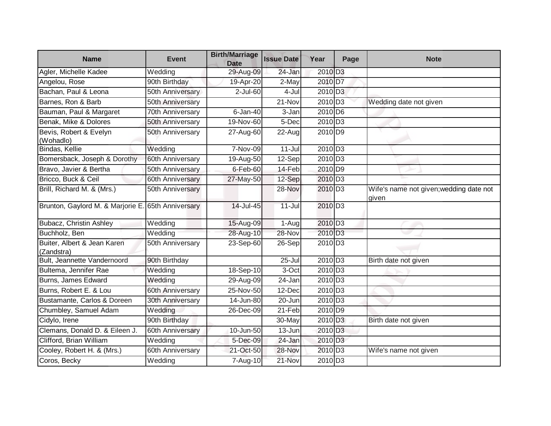| <b>Name</b>                                        | <b>Event</b>            | <b>Birth/Marriage</b><br><b>Date</b> | <b>Issue Date</b>    | Year                | Page | <b>Note</b>                                      |
|----------------------------------------------------|-------------------------|--------------------------------------|----------------------|---------------------|------|--------------------------------------------------|
| Agler, Michelle Kadee                              | Wedding                 | 29-Aug-09                            | 24-Jan               | 2010 D <sub>3</sub> |      |                                                  |
| Angelou, Rose                                      | 90th Birthday           | 19-Apr-20                            | 2-May                | 2010 D7             |      |                                                  |
| Bachan, Paul & Leona                               | 50th Anniversary        | $2$ -Jul-60                          | 4-Jul                | 2010 D <sub>3</sub> |      |                                                  |
| Barnes, Ron & Barb                                 | 50th Anniversary        |                                      | 21-Nov               | 2010 D <sub>3</sub> |      | Wedding date not given                           |
| Bauman, Paul & Margaret                            | <b>70th Anniversary</b> | $6$ -Jan-40                          | 3-Jan                | 2010 D6             |      |                                                  |
| Benak, Mike & Dolores                              | 50th Anniversary        | 19-Nov-60                            | 5-Dec                | 2010 D <sub>3</sub> |      |                                                  |
| Bevis, Robert & Evelyn<br>(Wohadlo)                | 50th Anniversary        | 27-Aug-60                            | 22-Aug               | 2010 D9             |      |                                                  |
| Bindas, Kellie                                     | Wedding                 | 7-Nov-09                             | $11 -$ Jul           | 2010 D <sub>3</sub> |      |                                                  |
| Bomersback, Joseph & Dorothy                       | 60th Anniversary        | 19-Aug-50                            | 12-Sep               | 2010 D <sub>3</sub> |      |                                                  |
| Bravo, Javier & Bertha                             | 50th Anniversary        | $6$ -Feb-60                          | 14-Feb               | 2010 D9             |      |                                                  |
| Bricco, Buck & Ceil                                | 60th Anniversary        | 27-May-50                            | 12-Sep               | 2010 D <sub>3</sub> |      |                                                  |
| Brill, Richard M. & (Mrs.)                         | 50th Anniversary        |                                      | 28-Nov               | 2010 D <sub>3</sub> |      | Wife's name not given; wedding date not<br>given |
| Brunton, Gaylord M. & Marjorie E. 65th Anniversary |                         | 14-Jul-45                            | $11 -$ Jul           | 2010 D <sub>3</sub> |      |                                                  |
| Bubacz, Christin Ashley                            | Wedding                 | 15-Aug-09                            | $1-Aug$              | 2010 D <sub>3</sub> |      |                                                  |
| Buchholz, Ben                                      | Wedding                 | 28-Aug-10                            | 28-Nov               | 2010 D <sub>3</sub> |      |                                                  |
| Buiter, Albert & Jean Karen<br>(Zandstra)          | 50th Anniversary        | 23-Sep-60                            | $26-Sep$             | 2010 D <sub>3</sub> |      |                                                  |
| Bult, Jeannette Vandernoord                        | 90th Birthday           |                                      | $\overline{25}$ -Jul | 2010 D <sub>3</sub> |      | Birth date not given                             |
| Bultema, Jennifer Rae                              | Wedding                 | 18-Sep-10                            | $\overline{3}$ -Oct  | 2010 D <sub>3</sub> |      |                                                  |
| Burns, James Edward                                | Wedding                 | 29-Aug-09                            | 24-Jan               | 2010 D <sub>3</sub> |      |                                                  |
| Burns, Robert E. & Lou                             | 60th Anniversary        | 25-Nov-50                            | 12-Dec               | 2010 D <sub>3</sub> |      |                                                  |
| Bustamante, Carlos & Doreen                        | 30th Anniversary        | 14-Jun-80                            | 20-Jun               | 2010 D <sub>3</sub> |      |                                                  |
| Chumbley, Samuel Adam                              | Wedding                 | 26-Dec-09                            | 21-Feb               | 2010 D9             |      |                                                  |
| Cidylo, Irene                                      | 90th Birthday           |                                      | 30-May               | 2010 D <sub>3</sub> |      | Birth date not given                             |
| Clemans, Donald D. & Eileen J.                     | 60th Anniversary        | 10-Jun-50                            | 13-Jun               | 2010 D <sub>3</sub> |      |                                                  |
| Clifford, Brian William                            | Wedding                 | 5-Dec-09                             | 24-Jan               | 2010 D <sub>3</sub> |      |                                                  |
| Cooley, Robert H. & (Mrs.)                         | 60th Anniversary        | 21-Oct-50                            | 28-Nov               | 2010 D <sub>3</sub> |      | Wife's name not given                            |
| Coros, Becky                                       | Wedding                 | 7-Aug-10                             | 21-Nov               | 2010 D <sub>3</sub> |      |                                                  |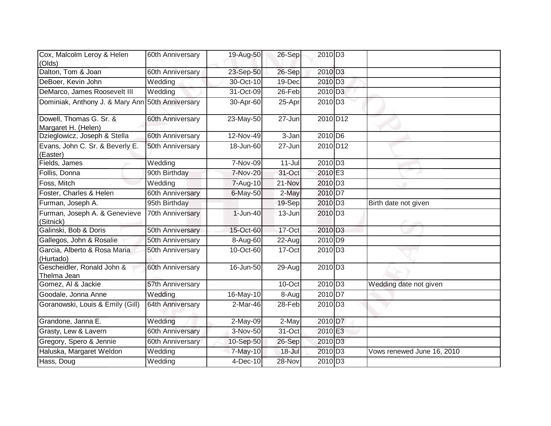| Cox, Malcolm Leroy & Helen<br>(Olds)             | 60th Anniversary | 19-Aug-50   | $26-Sep$   | 2010 D <sub>3</sub>   |                            |
|--------------------------------------------------|------------------|-------------|------------|-----------------------|----------------------------|
| Dalton, Tom & Joan                               | 60th Anniversary | 23-Sep-50   | 26-Sep     | 2010 D <sub>3</sub>   |                            |
| DeBoer, Kevin John                               | Wedding          | 30-Oct-10   | 19-Dec     | 2010 D <sub>3</sub>   |                            |
| DeMarco, James Roosevelt III                     | Wedding          | 31-Oct-09   | 26-Feb     | 2010 D <sub>3</sub>   |                            |
| Dominiak, Anthony J. & Mary Ann 50th Anniversary |                  | 30-Apr-60   | 25-Apr     | 2010 D <sub>3</sub>   |                            |
| Dowell, Thomas G. Sr. &<br>Margaret H. (Helen)   | 60th Anniversary | 23-May-50   | 27-Jun     | 2010 D12              |                            |
| Dzieglowicz, Joseph & Stella                     | 60th Anniversary | 12-Nov-49   | 3-Jan      | 2010 D6               |                            |
| Evans, John C. Sr. & Beverly E.<br>(Easter)      | 50th Anniversary | 18-Jun-60   | 27-Jun     | 2010 D <sub>12</sub>  |                            |
| Fields, James                                    | Wedding          | 7-Nov-09    | $11-Jul$   | 2010 D <sub>3</sub>   |                            |
| Follis, Donna                                    | 90th Birthday    | 7-Nov-20    | 31-Oct     | 2010 E3               |                            |
| Foss, Mitch                                      | Wedding          | 7-Aug-10    | 21-Nov     | 2010 D <sub>3</sub>   |                            |
| Foster, Charles & Helen                          | 60th Anniversary | 6-May-50    | 2-May      | 2010 D7               |                            |
| Furman, Joseph A.                                | 95th Birthday    |             | 19-Sep     | 2010 D <sub>3</sub>   | Birth date not given       |
| Furman, Joseph A. & Genevieve<br>(Sitnick)       | 70th Anniversary | $1$ -Jun-40 | 13-Jun     | 2010 D <sub>3</sub>   |                            |
| Galinski, Bob & Doris                            | 50th Anniversary | 15-Oct-60   | $17$ -Oct  | 2010 D <sub>3</sub>   |                            |
| Gallegos, John & Rosalie                         | 50th Anniversary | 8-Aug-60    | 22-Aug     | 2010 D9               |                            |
| Garcia, Alberto & Rosa Maria<br>(Hurtado)        | 50th Anniversary | 10-Oct-60   | 17-Oct     | 2010 D <sub>3</sub>   |                            |
| Gescheidler, Ronald John &<br>Thelma Jean        | 60th Anniversary | 16-Jun-50   | 29-Aug     | 2010 D <sub>3</sub>   |                            |
| Gomez, Al & Jackie                               | 57th Anniversary |             | 10-Oct     | 2010 D <sub>3</sub>   | Wedding date not given     |
| Goodale, Jonna Anne                              | Wedding          | 16-May-10   | 8-Aug      | 2010 D7               |                            |
| Goranowski, Louis & Emily (Gill)                 | 64th Anniversary | 2-Mar-46    | 28-Feb     | $2010$ D <sub>3</sub> |                            |
| Grandone, Janna E.                               | Wedding          | 2-May-09    | 2-May      | 2010 D7               |                            |
| Grasty, Lew & Lavern                             | 60th Anniversary | 3-Nov-50    | 31-Oct     | 2010 E3               |                            |
| Gregory, Spero & Jennie                          | 60th Anniversary | 10-Sep-50   | 26-Sep     | 2010 D <sub>3</sub>   |                            |
| Haluska, Margaret Weldon                         | Wedding          | 7-May-10    | $18 -$ Jul | 2010 D <sub>3</sub>   | Vows renewed June 16, 2010 |
| Hass, Doug                                       | Wedding          | 4-Dec-10    | 28-Nov     | 2010 D <sub>3</sub>   |                            |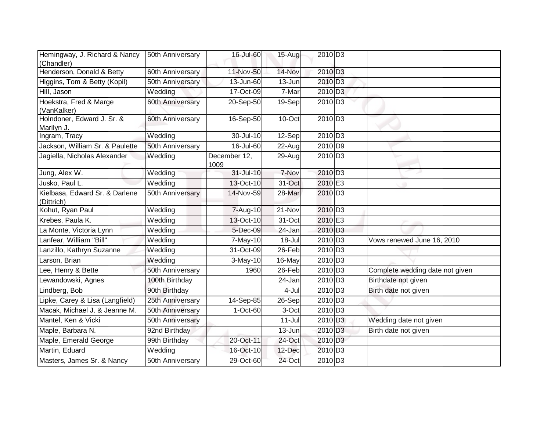| Hemingway, J. Richard & Nancy<br>(Chandler)  | 50th Anniversary | 16-Jul-60            | $15-Aug$             | 2010 D <sub>3</sub> |                                 |
|----------------------------------------------|------------------|----------------------|----------------------|---------------------|---------------------------------|
| Henderson, Donald & Betty                    | 60th Anniversary | 11-Nov-50            | 14-Nov               | 2010 D <sub>3</sub> |                                 |
| Higgins, Tom & Betty (Kopil)                 | 50th Anniversary | 13-Jun-60            | 13-Jun               | 2010 D <sub>3</sub> |                                 |
| Hill, Jason                                  | Wedding          | 17-Oct-09            | 7-Mar                | 2010 D <sub>3</sub> |                                 |
| Hoekstra, Fred & Marge<br>(VanKalker)        | 60th Anniversary | 20-Sep-50            | 19-Sep               | 2010 D <sub>3</sub> |                                 |
| Holndoner, Edward J. Sr. &<br>Marilyn J.     | 60th Anniversary | $16-$ Sep-50         | 10-Oct               | 2010 D <sub>3</sub> |                                 |
| Ingram, Tracy                                | Wedding          | 30-Jul-10            | $\overline{1}$ 2-Sep | 2010 D <sub>3</sub> |                                 |
| Jackson, William Sr. & Paulette              | 50th Anniversary | 16-Jul-60            | 22-Aug               | $2010\overline{DB}$ |                                 |
| Jagiella, Nicholas Alexander                 | Wedding          | December 12,<br>1009 | 29-Aug               | 2010 D <sub>3</sub> |                                 |
| Jung, Alex W.                                | Wedding          | 31-Jul-10            | 7-Nov                | 2010 D <sub>3</sub> |                                 |
| Jusko, Paul L.                               | Wedding          | 13-Oct-10            | 31-Oct               | 2010 E3             |                                 |
| Kielbasa, Edward Sr. & Darlene<br>(Dittrich) | 50th Anniversary | 14-Nov-59            | 28-Mar               | 2010 D <sub>3</sub> |                                 |
| Kohut, Ryan Paul                             | Wedding          | 7-Aug-10             | 21-Nov               | 2010 D <sub>3</sub> |                                 |
| Krebes, Paula K.                             | Wedding          | 13-Oct-10            | 31-Oct               | 2010 E3             |                                 |
| La Monte, Victoria Lynn                      | Wedding          | 5-Dec-09             | 24-Jan               | 2010 D <sub>3</sub> |                                 |
| Lanfear, William "Bill"                      | Wedding          | $7-May-10$           | 18-Jul               | $2010\overline{D3}$ | Vows renewed June 16, 2010      |
| Lanzillo, Kathryn Suzanne                    | Wedding          | 31-Oct-09            | 26-Feb               | 2010 D <sub>3</sub> |                                 |
| Larson, Brian                                | Wedding          | $3-May-10$           | 16-May               | 2010 D <sub>3</sub> |                                 |
| Lee, Henry & Bette                           | 50th Anniversary | 1960                 | 26-Feb               | 2010 D <sub>3</sub> | Complete wedding date not given |
| Lewandowski, Agnes                           | 100th Birthday   |                      | 24-Jan               | 2010 D <sub>3</sub> | Birthdate not given             |
| Lindberg, Bob                                | 90th Birthday    |                      | 4-Jul                | 2010 D <sub>3</sub> | Birth date not given            |
| Lipke, Carey & Lisa (Langfield)              | 25th Anniversary | 14-Sep-85            | 26-Sep               | 2010 D <sub>3</sub> |                                 |
| Macak, Michael J. & Jeanne M.                | 50th Anniversary | 1-Oct-60             | 3-Oct                | 2010 D <sub>3</sub> |                                 |
| Mantel, Ken & Vicki                          | 50th Anniversary |                      | $11 -$ Jul           | 2010 D <sub>3</sub> | Wedding date not given          |
| Maple, Barbara N.                            | 92nd Birthday    |                      | 13-Jun               | 2010 D <sub>3</sub> | Birth date not given            |
| Maple, Emerald George                        | 99th Birthday    | 20-Oct-11            | 24-Oct               | 2010 D <sub>3</sub> |                                 |
| Martin, Eduard                               | Wedding          | 16-Oct-10            | 12-Dec               | 2010 D <sub>3</sub> |                                 |
| Masters, James Sr. & Nancy                   | 50th Anniversary | 29-Oct-60            | 24-Oct               | 2010 D3             |                                 |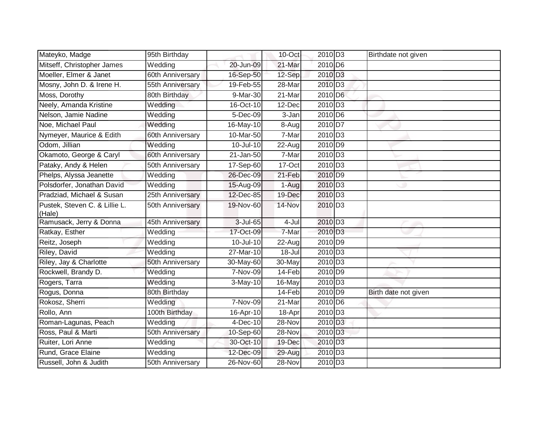| Mateyko, Madge                          | 95th Birthday    |                         | $10$ -Oct  | 2010 D <sub>3</sub> | Birthdate not given  |
|-----------------------------------------|------------------|-------------------------|------------|---------------------|----------------------|
| Mitseff, Christopher James              | Wedding          | 20-Jun-09               | 21-Mar     | 2010 D6             |                      |
| Moeller, Elmer & Janet                  | 60th Anniversary | 16-Sep-50               | 12-Sep     | 2010 D <sub>3</sub> |                      |
| Mosny, John D. & Irene H.               | 55th Anniversary | 19-Feb-55               | 28-Mar     | 2010 D <sub>3</sub> |                      |
| Moss, Dorothy                           | 80th Birthday    | 9-Mar-30                | $21$ -Mar  | 2010 D6             |                      |
| Neely, Amanda Kristine                  | Wedding          | 16-Oct-10               | 12-Dec     | $2010\overline{D3}$ |                      |
| Nelson, Jamie Nadine                    | Wedding          | 5-Dec-09                | 3-Jan      | 2010 D6             |                      |
| Noe, Michael Paul                       | Wedding          | 16-May-10               | 8-Augl     | 2010 D7             |                      |
| Nymeyer, Maurice & Edith                | 60th Anniversary | 10-Mar-50               | 7-Mar      | 2010 D <sub>3</sub> |                      |
| Odom, Jillian                           | Wedding          | 10-Jul-10               | 22-Aug     | 2010 D9             |                      |
| Okamoto, George & Caryl                 | 60th Anniversary | $\overline{2}$ 1-Jan-50 | 7-Mar      | 2010 D <sub>3</sub> |                      |
| Pataky, Andy & Helen                    | 50th Anniversary | 17-Sep-60               | 17-Oct     | 2010 D <sub>3</sub> |                      |
| Phelps, Alyssa Jeanette                 | Wedding          | 26-Dec-09               | 21-Feb     | 2010 D9             |                      |
| Polsdorfer, Jonathan David              | Wedding          | 15-Aug-09               | 1-Aug      | 2010 D <sub>3</sub> |                      |
| Pradziad, Michael & Susan               | 25th Anniversary | 12-Dec-85               | 19-Dec     | 2010 D <sub>3</sub> |                      |
| Pustek, Steven C. & Lillie L.<br>(Hale) | 50th Anniversary | 19-Nov-60               | 14-Nov     | 2010 D <sub>3</sub> |                      |
| Ramusack, Jerry & Donna                 | 45th Anniversary | 3-Jul-65                | 4-Jul      | 2010 D <sub>3</sub> |                      |
| Ratkay, Esther                          | Wedding          | 17-Oct-09               | 7-Mar      | 2010 D <sub>3</sub> |                      |
| Reitz, Joseph                           | Wedding          | 10-Jul-10               | 22-Aug     | 2010 D9             |                      |
| Riley, David                            | Wedding          | $27-Mar-10$             | $18 -$ Jul | 2010 D <sub>3</sub> |                      |
| Riley, Jay & Charlotte                  | 50th Anniversary | 30-May-60               | 30-May     | 2010 D3             |                      |
| Rockwell, Brandy D.                     | Wedding          | 7-Nov-09                | 14-Feb     | 2010 D9             |                      |
| Rogers, Tarra                           | Wedding          | 3-May-10                | 16-May     | 2010 D3             |                      |
| Rogus, Donna                            | 80th Birthday    |                         | 14-Feb     | 2010 D9             | Birth date not given |
| Rokosz, Sherri                          | Wedding          | 7-Nov-09                | 21-Mar     | 2010 D6             |                      |
| Rollo, Ann                              | 100th Birthday   | 16-Apr-10               | 18-Apr     | 2010 D <sub>3</sub> |                      |
| Roman-Lagunas, Peach                    | Wedding          | $4-Dec-10$              | 28-Nov     | 2010 D <sub>3</sub> |                      |
| Ross, Paul & Marti                      | 50th Anniversary | 10-Sep-60               | 28-Nov     | 2010 D <sub>3</sub> |                      |
| Ruiter, Lori Anne                       | Wedding          | 30-Oct-10               | 19-Dec     | 2010 D <sub>3</sub> |                      |
| Rund, Grace Elaine                      | Wedding          | 12-Dec-09               | 29-Aug     | 2010 D <sub>3</sub> |                      |
| Russell, John & Judith                  | 50th Anniversary | 26-Nov-60               | 28-Nov     | 2010 D3             |                      |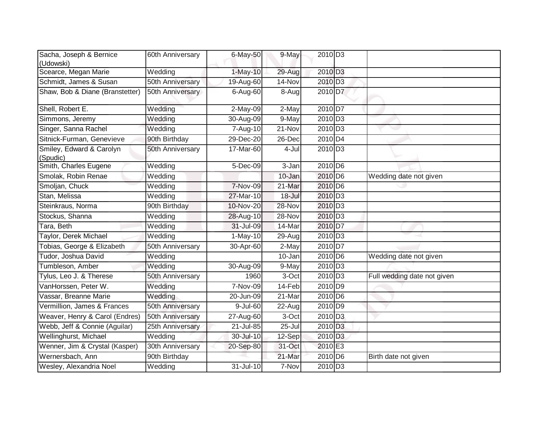| Sacha, Joseph & Bernice<br>(Udowski) | 60th Anniversary        | 6-May-50  | 9-May      | $2010$ D <sub>3</sub> |                             |
|--------------------------------------|-------------------------|-----------|------------|-----------------------|-----------------------------|
| Scearce, Megan Marie                 | Wedding                 | 1-May-10  | 29-Aug     | 2010 D3               |                             |
| Schmidt, James & Susan               | <b>50th Anniversary</b> | 19-Aug-60 | 14-Nov     | 2010 D <sub>3</sub>   |                             |
| Shaw, Bob & Diane (Branstetter)      | 50th Anniversary        | 6-Aug-60  | 8-Augl     | 2010 D7               |                             |
| Shell, Robert E.                     | Wedding                 | 2-May-09  | 2-May      | 2010 D7               |                             |
| Simmons, Jeremy                      | Wedding                 | 30-Aug-09 | $9-May$    | 2010 D <sub>3</sub>   |                             |
| Singer, Sanna Rachel                 | Wedding                 | 7-Aug-10  | 21-Nov     | 2010 D <sub>3</sub>   |                             |
| Sitnick-Furman, Genevieve            | 90th Birthday           | 29-Dec-20 | 26-Dec     | 2010 D4               |                             |
| Smiley, Edward & Carolyn<br>(Spudic) | 50th Anniversary        | 17-Mar-60 | 4-Jul      | 2010 D <sub>3</sub>   |                             |
| Smith, Charles Eugene                | Wedding                 | 5-Dec-09  | 3-Jan      | 2010 D <sub>6</sub>   |                             |
| Smolak, Robin Renae                  | Wedding                 |           | 10-Jan     | 2010 D6               | Wedding date not given      |
| Smoljan, Chuck                       | Wedding                 | 7-Nov-09  | 21-Mar     | 2010 D <sub>6</sub>   |                             |
| Stan, Melissa                        | Wedding                 | 27-Mar-10 | $18 -$ Jul | 2010 D <sub>3</sub>   |                             |
| Steinkraus, Norma                    | 90th Birthday           | 10-Nov-20 | 28-Nov     | $2010\overline{D3}$   |                             |
| Stockus, Shanna                      | Wedding                 | 28-Aug-10 | 28-Nov     | 2010 D <sub>3</sub>   |                             |
| Tara, Beth                           | Wedding                 | 31-Jul-09 | 14-Mar     | 2010 D7               |                             |
| Taylor, Derek Michael                | Wedding                 | 1-May-10  | 29-Aug     | $2010$ D <sub>3</sub> |                             |
| Tobias, George & Elizabeth           | 50th Anniversary        | 30-Apr-60 | 2-May      | 2010 D7               |                             |
| Tudor, Joshua David                  | Wedding                 |           | 10-Jan     | 2010 D <sub>6</sub>   | Wedding date not given      |
| Tumbleson, Amber                     | Wedding                 | 30-Aug-09 | 9-May      | $2010$ D <sub>3</sub> |                             |
| Tylus, Leo J. & Therese              | 50th Anniversary        | 1960      | 3-Oct      | $2010\overline{D3}$   | Full wedding date not given |
| VanHorssen, Peter W.                 | Wedding                 | 7-Nov-09  | 14-Feb     | 2010 D9               |                             |
| Vassar, Breanne Marie                | Wedding                 | 20-Jun-09 | 21-Mar     | 2010 D6               |                             |
| Vermillion, James & Frances          | 50th Anniversary        | 9-Jul-60  | 22-Aug     | 2010 D9               |                             |
| Weaver, Henry & Carol (Endres)       | 50th Anniversary        | 27-Aug-60 | 3-Oct      | $2010$ D <sub>3</sub> |                             |
| Webb, Jeff & Connie (Aguilar)        | 25th Anniversary        | 21-Jul-85 | $25 -$ Jul | 2010 D <sub>3</sub>   |                             |
| Wellinghurst, Michael                | Wedding                 | 30-Jul-10 | 12-Sep     | $2010$ D <sub>3</sub> |                             |
| Wenner, Jim & Crystal (Kasper)       | 30th Anniversary        | 20-Sep-80 | 31-Oct     | 2010 E3               |                             |
| Wernersbach, Ann                     | 90th Birthday           |           | 21-Mar     | 2010 D <sub>6</sub>   | Birth date not given        |
| Wesley, Alexandria Noel              | Wedding                 | 31-Jul-10 | 7-Nov      | 2010 D <sub>3</sub>   |                             |